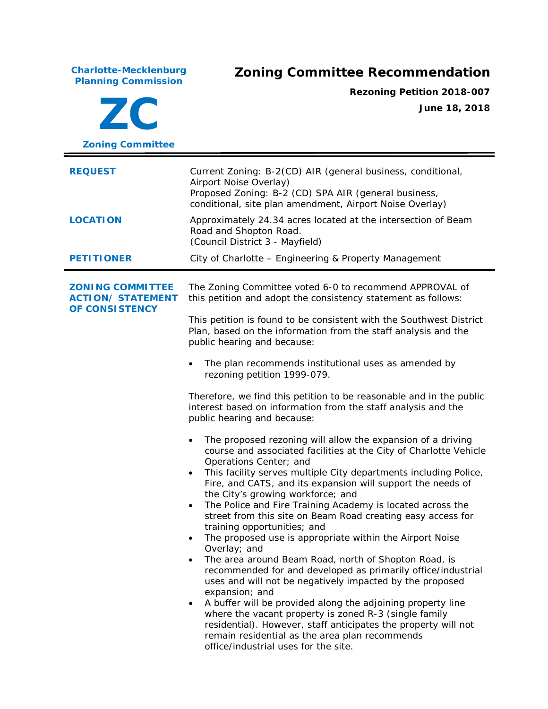**Charlotte-Mecklenburg**

## **Planning Commission Zoning Committee Recommendation**

**ZC**

**Rezoning Petition 2018-007 June 18, 2018**

| <b>Zoning Committee</b>                                                            |                                                                                                                                                                                                                                                                                                                                                                                                                                                                                                                                                                                                                                                                                                                                                                                                                                                                                                                                                                                                                                                                                                                                                                                                                                                                                                                                                                                                                                                                                                                                                                                                                                                                                            |  |
|------------------------------------------------------------------------------------|--------------------------------------------------------------------------------------------------------------------------------------------------------------------------------------------------------------------------------------------------------------------------------------------------------------------------------------------------------------------------------------------------------------------------------------------------------------------------------------------------------------------------------------------------------------------------------------------------------------------------------------------------------------------------------------------------------------------------------------------------------------------------------------------------------------------------------------------------------------------------------------------------------------------------------------------------------------------------------------------------------------------------------------------------------------------------------------------------------------------------------------------------------------------------------------------------------------------------------------------------------------------------------------------------------------------------------------------------------------------------------------------------------------------------------------------------------------------------------------------------------------------------------------------------------------------------------------------------------------------------------------------------------------------------------------------|--|
| <b>REQUEST</b>                                                                     | Current Zoning: B-2(CD) AIR (general business, conditional,<br>Airport Noise Overlay)<br>Proposed Zoning: B-2 (CD) SPA AIR (general business,<br>conditional, site plan amendment, Airport Noise Overlay)                                                                                                                                                                                                                                                                                                                                                                                                                                                                                                                                                                                                                                                                                                                                                                                                                                                                                                                                                                                                                                                                                                                                                                                                                                                                                                                                                                                                                                                                                  |  |
| <b>LOCATION</b>                                                                    | Approximately 24.34 acres located at the intersection of Beam<br>Road and Shopton Road.<br>(Council District 3 - Mayfield)                                                                                                                                                                                                                                                                                                                                                                                                                                                                                                                                                                                                                                                                                                                                                                                                                                                                                                                                                                                                                                                                                                                                                                                                                                                                                                                                                                                                                                                                                                                                                                 |  |
| <b>PETITIONER</b>                                                                  | City of Charlotte - Engineering & Property Management                                                                                                                                                                                                                                                                                                                                                                                                                                                                                                                                                                                                                                                                                                                                                                                                                                                                                                                                                                                                                                                                                                                                                                                                                                                                                                                                                                                                                                                                                                                                                                                                                                      |  |
| <b>ZONING COMMITTEE</b><br><b>ACTION/ STATEMENT</b><br>OF CONSISTENCY<br>$\bullet$ | The Zoning Committee voted 6-0 to recommend APPROVAL of<br>this petition and adopt the consistency statement as follows:<br>This petition is found to be consistent with the Southwest District<br>Plan, based on the information from the staff analysis and the<br>public hearing and because:<br>The plan recommends institutional uses as amended by<br>$\bullet$<br>rezoning petition 1999-079.<br>Therefore, we find this petition to be reasonable and in the public<br>interest based on information from the staff analysis and the<br>public hearing and because:<br>The proposed rezoning will allow the expansion of a driving<br>$\bullet$<br>course and associated facilities at the City of Charlotte Vehicle<br>Operations Center; and<br>This facility serves multiple City departments including Police,<br>$\bullet$<br>Fire, and CATS, and its expansion will support the needs of<br>the City's growing workforce; and<br>The Police and Fire Training Academy is located across the<br>$\bullet$<br>street from this site on Beam Road creating easy access for<br>training opportunities; and<br>The proposed use is appropriate within the Airport Noise<br>Overlay; and<br>The area around Beam Road, north of Shopton Road, is<br>recommended for and developed as primarily office/industrial<br>uses and will not be negatively impacted by the proposed<br>expansion; and<br>A buffer will be provided along the adjoining property line<br>where the vacant property is zoned R-3 (single family<br>residential). However, staff anticipates the property will not<br>remain residential as the area plan recommends<br>office/industrial uses for the site. |  |